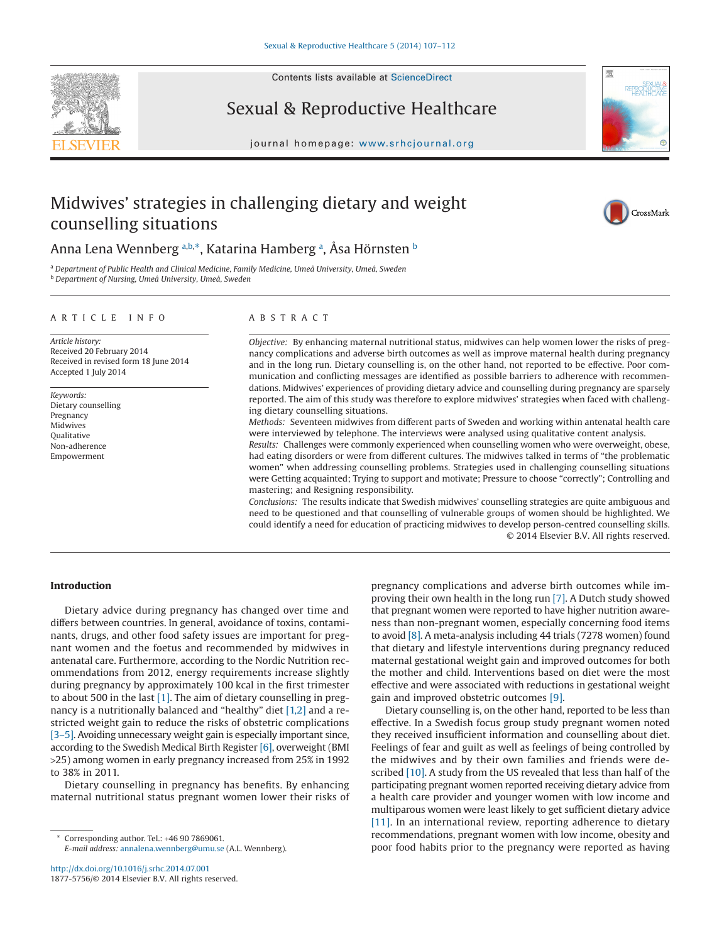

Contents lists available at [ScienceDirect](http:http://www.sciencedirect.com/science/journal/01678809)

# Sexual & Reproductive Healthcare

journal homepage: [www.srhcjournal.org](http://www.srhcjournal.org)



CrossMark

# Midwives' strategies in challenging dietary and weight counselling situations

Ann[a](#page-0-0) Lena Wennberg <sup>a[,b,](#page-0-1)\*</sup>, Katarina Ham[b](#page-0-1)erg <sup>a</sup>, Åsa Hörnsten <sup>b</sup>

<span id="page-0-1"></span><span id="page-0-0"></span><sup>a</sup> *Department of Public Health and Clinical Medicine, Family Medicine, Umeå University, Umeå, Sweden* <sup>b</sup> *Department of Nursing, Umeå University, Umeå, Sweden*

#### ARTICLE INFO

*Article history:* Received 20 February 2014 Received in revised form 18 June 2014 Accepted 1 July 2014

*Keywords:* Dietary counselling Pregnancy Midwives Qualitative Non-adherence Empowerment

# ABSTRACT

*Objective:* By enhancing maternal nutritional status, midwives can help women lower the risks of pregnancy complications and adverse birth outcomes as well as improve maternal health during pregnancy and in the long run. Dietary counselling is, on the other hand, not reported to be effective. Poor communication and conflicting messages are identified as possible barriers to adherence with recommendations. Midwives' experiences of providing dietary advice and counselling during pregnancy are sparsely reported. The aim of this study was therefore to explore midwives' strategies when faced with challenging dietary counselling situations.

*Methods:* Seventeen midwives from different parts of Sweden and working within antenatal health care were interviewed by telephone. The interviews were analysed using qualitative content analysis.

*Results:* Challenges were commonly experienced when counselling women who were overweight, obese, had eating disorders or were from different cultures. The midwives talked in terms of "the problematic women" when addressing counselling problems. Strategies used in challenging counselling situations were Getting acquainted; Trying to support and motivate; Pressure to choose "correctly"; Controlling and mastering; and Resigning responsibility.

*Conclusions:* The results indicate that Swedish midwives' counselling strategies are quite ambiguous and need to be questioned and that counselling of vulnerable groups of women should be highlighted. We could identify a need for education of practicing midwives to develop person-centred counselling skills. © 2014 Elsevier B.V. All rights reserved.

#### **Introduction**

Dietary advice during pregnancy has changed over time and differs between countries. In general, avoidance of toxins, contaminants, drugs, and other food safety issues are important for pregnant women and the foetus and recommended by midwives in antenatal care. Furthermore, according to the Nordic Nutrition recommendations from 2012, energy requirements increase slightly during pregnancy by approximately 100 kcal in the first trimester to about 500 in the last [\[1\].](#page-5-0) The aim of dietary counselling in pregnancy is a nutritionally balanced and "healthy" diet [\[1,2\]](#page-5-0) and a restricted weight gain to reduce the risks of obstetric complications [\[3–5\].](#page-5-1) Avoiding unnecessary weight gain is especially important since, according to the Swedish Medical Birth Register [\[6\],](#page-5-2) overweight (BMI >25) among women in early pregnancy increased from 25% in 1992 to 38% in 2011.

Dietary counselling in pregnancy has benefits. By enhancing maternal nutritional status pregnant women lower their risks of

<span id="page-0-2"></span>Corresponding author. Tel.: +46 90 7869061. *E-mail address:* [annalena.wennberg@umu.se](mailto:annalena.wennberg@umu.se) (A.L. Wennberg).

http://dx.doi.org/10.1016/j.srhc.2014.07.001 1877-5756/© 2014 Elsevier B.V. All rights reserved.

pregnancy complications and adverse birth outcomes while improving their own health in the long run [\[7\].](#page-5-3) A Dutch study showed that pregnant women were reported to have higher nutrition awareness than non-pregnant women, especially concerning food items to avoid [\[8\].](#page-5-4) A meta-analysis including 44 trials (7278 women) found that dietary and lifestyle interventions during pregnancy reduced maternal gestational weight gain and improved outcomes for both the mother and child. Interventions based on diet were the most effective and were associated with reductions in gestational weight gain and improved obstetric outcomes [\[9\].](#page-5-5)

Dietary counselling is, on the other hand, reported to be less than effective. In a Swedish focus group study pregnant women noted they received insufficient information and counselling about diet. Feelings of fear and guilt as well as feelings of being controlled by the midwives and by their own families and friends were de-scribed [\[10\].](#page-5-6) A study from the US revealed that less than half of the participating pregnant women reported receiving dietary advice from a health care provider and younger women with low income and multiparous women were least likely to get sufficient dietary advice [\[11\].](#page-5-7) In an international review, reporting adherence to dietary recommendations, pregnant women with low income, obesity and poor food habits prior to the pregnancy were reported as having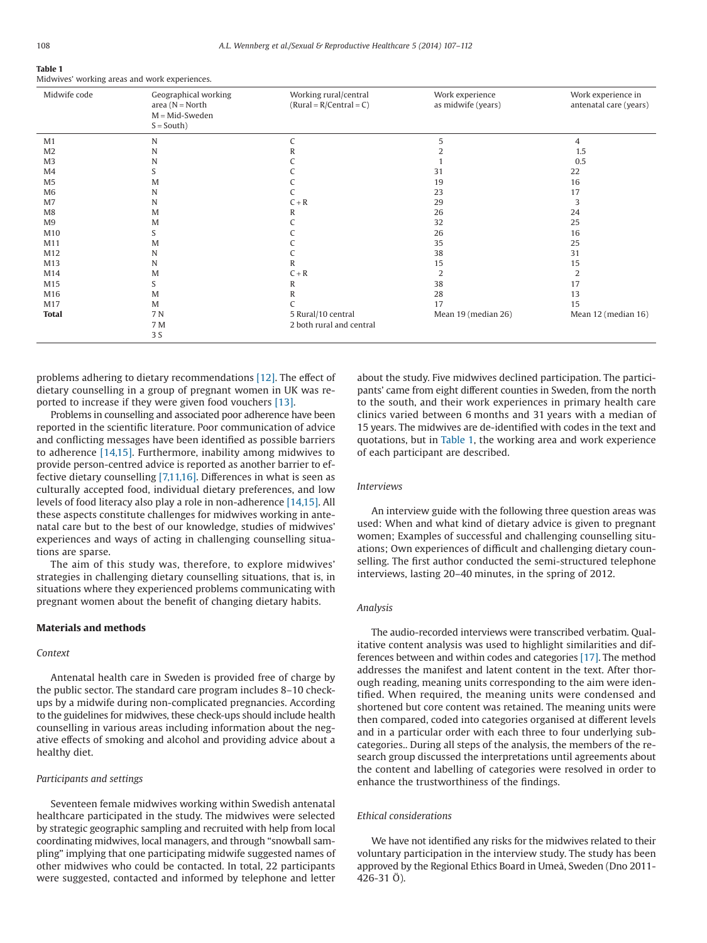| Table 1 |  |  |
|---------|--|--|

Midwives' working areas and work experiences.

| Midwife code   | Geographical working<br>area ( $N = North$ | Working rural/central<br>$(Rural = R/Central = C)$ | Work experience<br>as midwife (years) | Work experience in<br>antenatal care (years) |
|----------------|--------------------------------------------|----------------------------------------------------|---------------------------------------|----------------------------------------------|
|                | $M = Mid-Sweden$<br>$S = South$ )          |                                                    |                                       |                                              |
| M1             | N                                          |                                                    | 5                                     | 4                                            |
| M <sub>2</sub> | N                                          | R                                                  |                                       | 1.5                                          |
| M <sub>3</sub> | N                                          |                                                    |                                       | 0.5                                          |
| M4             | S                                          |                                                    | 31                                    | 22                                           |
| M <sub>5</sub> | M                                          |                                                    | 19                                    | 16                                           |
| M <sub>6</sub> | N                                          |                                                    | 23                                    | 17                                           |
| M <sub>7</sub> | N                                          | $C + R$                                            | 29                                    | 3                                            |
| M8             | M                                          | R                                                  | 26                                    | 24                                           |
| M9             | M                                          |                                                    | 32                                    | 25                                           |
| M10            | S                                          |                                                    | 26                                    | 16                                           |
| M11            | M                                          |                                                    | 35                                    | 25                                           |
| M12            | N                                          |                                                    | 38                                    | 31                                           |
| M13            | N                                          | R                                                  | 15                                    | 15                                           |
| M14            | M                                          | $C + R$                                            | 2                                     | $\overline{2}$                               |
| M15            | S                                          | R                                                  | 38                                    | 17                                           |
| M16            | M                                          | R                                                  | 28                                    | 13                                           |
| M17            | M                                          |                                                    | 17                                    | 15                                           |
| <b>Total</b>   | 7 N                                        | 5 Rural/10 central                                 | Mean 19 (median 26)                   | Mean 12 (median 16)                          |
|                | 7 M                                        | 2 both rural and central                           |                                       |                                              |
|                | 3S                                         |                                                    |                                       |                                              |

problems adhering to dietary recommendations [\[12\].](#page-5-8) The effect of dietary counselling in a group of pregnant women in UK was reported to increase if they were given food vouchers [\[13\].](#page-5-9)

Problems in counselling and associated poor adherence have been reported in the scientific literature. Poor communication of advice and conflicting messages have been identified as possible barriers to adherence [\[14,15\].](#page-5-10) Furthermore, inability among midwives to provide person-centred advice is reported as another barrier to effective dietary counselling [\[7,11,16\].](#page-5-3) Differences in what is seen as culturally accepted food, individual dietary preferences, and low levels of food literacy also play a role in non-adherence [\[14,15\].](#page-5-10) All these aspects constitute challenges for midwives working in antenatal care but to the best of our knowledge, studies of midwives' experiences and ways of acting in challenging counselling situations are sparse.

The aim of this study was, therefore, to explore midwives' strategies in challenging dietary counselling situations, that is, in situations where they experienced problems communicating with pregnant women about the benefit of changing dietary habits.

## **Materials and methods**

## *Context*

Antenatal health care in Sweden is provided free of charge by the public sector. The standard care program includes 8–10 checkups by a midwife during non-complicated pregnancies. According to the guidelines for midwives, these check-ups should include health counselling in various areas including information about the negative effects of smoking and alcohol and providing advice about a healthy diet.

#### *Participants and settings*

Seventeen female midwives working within Swedish antenatal healthcare participated in the study. The midwives were selected by strategic geographic sampling and recruited with help from local coordinating midwives, local managers, and through "snowball sampling" implying that one participating midwife suggested names of other midwives who could be contacted. In total, 22 participants were suggested, contacted and informed by telephone and letter about the study. Five midwives declined participation. The participants' came from eight different counties in Sweden, from the north to the south, and their work experiences in primary health care clinics varied between 6 months and 31 years with a median of 15 years. The midwives are de-identified with codes in the text and quotations, but in Table 1, the working area and work experience of each participant are described.

## *Interviews*

An interview guide with the following three question areas was used: When and what kind of dietary advice is given to pregnant women; Examples of successful and challenging counselling situations; Own experiences of difficult and challenging dietary counselling. The first author conducted the semi-structured telephone interviews, lasting 20–40 minutes, in the spring of 2012.

## *Analysis*

The audio-recorded interviews were transcribed verbatim. Qualitative content analysis was used to highlight similarities and differences between and within codes and categories [\[17\].](#page-5-11) The method addresses the manifest and latent content in the text. After thorough reading, meaning units corresponding to the aim were identified. When required, the meaning units were condensed and shortened but core content was retained. The meaning units were then compared, coded into categories organised at different levels and in a particular order with each three to four underlying subcategories.. During all steps of the analysis, the members of the research group discussed the interpretations until agreements about the content and labelling of categories were resolved in order to enhance the trustworthiness of the findings.

#### *Ethical considerations*

We have not identified any risks for the midwives related to their voluntary participation in the interview study. The study has been approved by the Regional Ethics Board in Umeå, Sweden (Dno 2011- 426-31 Ö).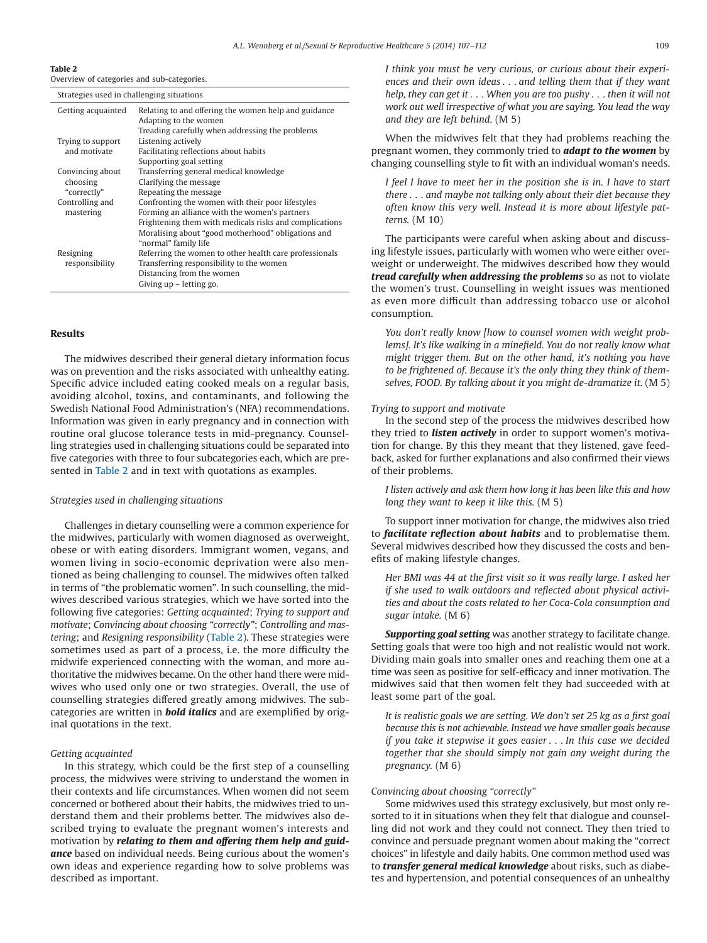#### <span id="page-2-0"></span>**Table 2**

Overview of categories and sub-categories.

| Strategies used in challenging situations |                                                                               |  |  |
|-------------------------------------------|-------------------------------------------------------------------------------|--|--|
| Getting acquainted                        | Relating to and offering the women help and guidance<br>Adapting to the women |  |  |
|                                           | Treading carefully when addressing the problems                               |  |  |
| Trying to support<br>and motivate         | Listening actively                                                            |  |  |
|                                           | Facilitating reflections about habits                                         |  |  |
|                                           | Supporting goal setting                                                       |  |  |
| Convincing about<br>choosing              | Transferring general medical knowledge                                        |  |  |
|                                           | Clarifying the message                                                        |  |  |
| "correctly"                               | Repeating the message                                                         |  |  |
| Controlling and<br>mastering              | Confronting the women with their poor lifestyles                              |  |  |
|                                           | Forming an alliance with the women's partners                                 |  |  |
|                                           | Frightening them with medicals risks and complications                        |  |  |
|                                           | Moralising about "good motherhood" obligations and<br>"normal" family life    |  |  |
| Resigning                                 | Referring the women to other health care professionals                        |  |  |
| responsibility                            | Transferring responsibility to the women                                      |  |  |
|                                           | Distancing from the women                                                     |  |  |
|                                           | Giving up – letting go.                                                       |  |  |

# **Results**

The midwives described their general dietary information focus was on prevention and the risks associated with unhealthy eating. Specific advice included eating cooked meals on a regular basis, avoiding alcohol, toxins, and contaminants, and following the Swedish National Food Administration's (NFA) recommendations. Information was given in early pregnancy and in connection with routine oral glucose tolerance tests in mid-pregnancy. Counselling strategies used in challenging situations could be separated into five categories with three to four subcategories each, which are presented in Table 2 and in text with quotations as examples.

#### *Strategies used in challenging situations*

Challenges in dietary counselling were a common experience for the midwives, particularly with women diagnosed as overweight, obese or with eating disorders. Immigrant women, vegans, and women living in socio-economic deprivation were also mentioned as being challenging to counsel. The midwives often talked in terms of "the problematic women". In such counselling, the midwives described various strategies, which we have sorted into the following five categories: *Getting acquainted*; *Trying to support and motivate*; *Convincing about choosing "correctly"*; *Controlling and mastering*; and *Resigning responsibility* (Table 2). These strategies were sometimes used as part of a process, i.e. the more difficulty the midwife experienced connecting with the woman, and more authoritative the midwives became. On the other hand there were midwives who used only one or two strategies. Overall, the use of counselling strategies differed greatly among midwives. The subcategories are written in *bold italics* and are exemplified by original quotations in the text.

### *Getting acquainted*

In this strategy, which could be the first step of a counselling process, the midwives were striving to understand the women in their contexts and life circumstances. When women did not seem concerned or bothered about their habits, the midwives tried to understand them and their problems better. The midwives also described trying to evaluate the pregnant women's interests and motivation by *relating to them and offering them help and guidance* based on individual needs. Being curious about the women's own ideas and experience regarding how to solve problems was described as important.

*I think you must be very curious, or curious about their experiences and their own ideas . . . and telling them that if they want help, they can get it . . . When you are too pushy . . . then it will not work out well irrespective of what you are saying. You lead the way and they are left behind.* (M 5)

When the midwives felt that they had problems reaching the pregnant women, they commonly tried to *adapt to the women* by changing counselling style to fit with an individual woman's needs.

*I feel I have to meet her in the position she is in. I have to start there . . . and maybe not talking only about their diet because they often know this very well. Instead it is more about lifestyle patterns.* (M 10)

The participants were careful when asking about and discussing lifestyle issues, particularly with women who were either overweight or underweight. The midwives described how they would *tread carefully when addressing the problems* so as not to violate the women's trust. Counselling in weight issues was mentioned as even more difficult than addressing tobacco use or alcohol consumption.

*You don't really know [how to counsel women with weight problems]. It's like walking in a minefield. You do not really know what might trigger them. But on the other hand, it's nothing you have to be frightened of. Because it's the only thing they think of themselves, FOOD. By talking about it you might de-dramatize it.* (M 5)

#### *Trying to support and motivate*

In the second step of the process the midwives described how they tried to *listen actively* in order to support women's motivation for change. By this they meant that they listened, gave feedback, asked for further explanations and also confirmed their views of their problems.

*I listen actively and ask them how long it has been like this and how long they want to keep it like this.* (M 5)

To support inner motivation for change, the midwives also tried to *facilitate reflection about habits* and to problematise them. Several midwives described how they discussed the costs and benefits of making lifestyle changes.

*Her BMI was 44 at the first visit so it was really large. I asked her if she used to walk outdoors and reflected about physical activities and about the costs related to her Coca-Cola consumption and sugar intake.* (M 6)

**Supporting goal setting** was another strategy to facilitate change. Setting goals that were too high and not realistic would not work. Dividing main goals into smaller ones and reaching them one at a time was seen as positive for self-efficacy and inner motivation. The midwives said that then women felt they had succeeded with at least some part of the goal.

*It is realistic goals we are setting. We don't set 25 kg as a first goal because this is not achievable. Instead we have smaller goals because if you take it stepwise it goes easier . . . In this case we decided together that she should simply not gain any weight during the pregnancy.* (M 6)

#### *Convincing about choosing "correctly"*

Some midwives used this strategy exclusively, but most only resorted to it in situations when they felt that dialogue and counselling did not work and they could not connect. They then tried to convince and persuade pregnant women about making the "correct choices" in lifestyle and daily habits. One common method used was to *transfer general medical knowledge* about risks, such as diabetes and hypertension, and potential consequences of an unhealthy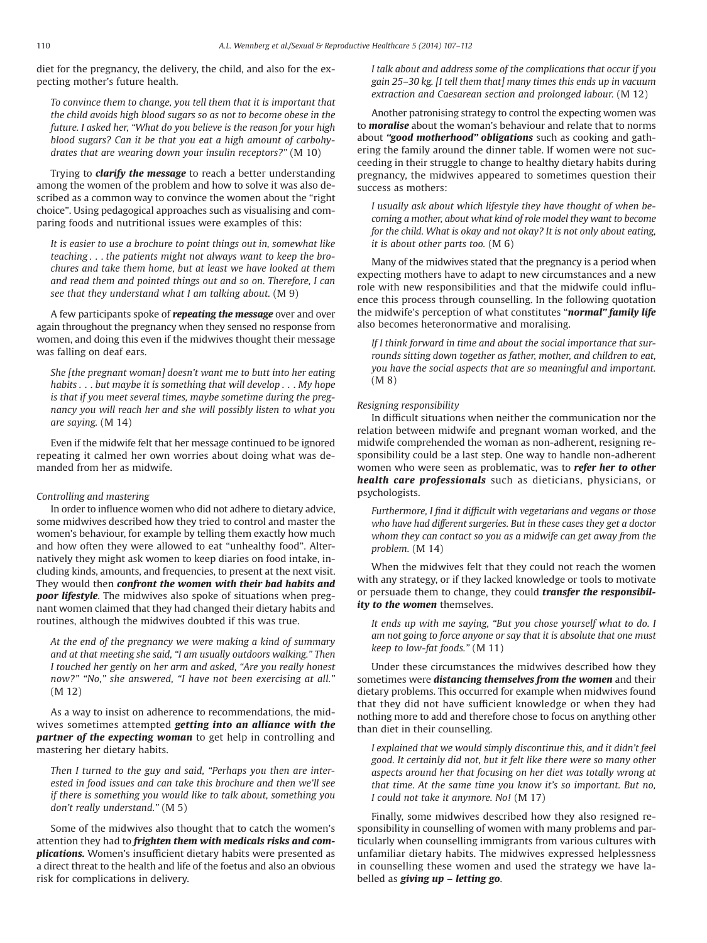diet for the pregnancy, the delivery, the child, and also for the expecting mother's future health.

*To convince them to change, you tell them that it is important that the child avoids high blood sugars so as not to become obese in the future. I asked her, "What do you believe is the reason for your high blood sugars? Can it be that you eat a high amount of carbohydrates that are wearing down your insulin receptors?"* (M 10)

Trying to *clarify the message* to reach a better understanding among the women of the problem and how to solve it was also described as a common way to convince the women about the "right choice". Using pedagogical approaches such as visualising and comparing foods and nutritional issues were examples of this:

*It is easier to use a brochure to point things out in, somewhat like teaching . . . the patients might not always want to keep the brochures and take them home, but at least we have looked at them and read them and pointed things out and so on. Therefore, I can see that they understand what I am talking about.* (M 9)

A few participants spoke of *repeating the message* over and over again throughout the pregnancy when they sensed no response from women, and doing this even if the midwives thought their message was falling on deaf ears.

*She [the pregnant woman] doesn't want me to butt into her eating habits . . . but maybe it is something that will develop . . . My hope is that if you meet several times, maybe sometime during the pregnancy you will reach her and she will possibly listen to what you are saying.* (M 14)

Even if the midwife felt that her message continued to be ignored repeating it calmed her own worries about doing what was demanded from her as midwife.

#### *Controlling and mastering*

In order to influence women who did not adhere to dietary advice, some midwives described how they tried to control and master the women's behaviour, for example by telling them exactly how much and how often they were allowed to eat "unhealthy food". Alternatively they might ask women to keep diaries on food intake, including kinds, amounts, and frequencies, to present at the next visit. They would then *confront the women with their bad habits and poor lifestyle*. The midwives also spoke of situations when pregnant women claimed that they had changed their dietary habits and routines, although the midwives doubted if this was true.

*At the end of the pregnancy we were making a kind of summary and at that meeting she said, "I am usually outdoors walking." Then I touched her gently on her arm and asked, "Are you really honest now?" "No," she answered, "I have not been exercising at all."* (M 12)

As a way to insist on adherence to recommendations, the midwives sometimes attempted *getting into an alliance with the partner of the expecting woman* to get help in controlling and mastering her dietary habits.

*Then I turned to the guy and said, "Perhaps you then are interested in food issues and can take this brochure and then we'll see if there is something you would like to talk about, something you don't really understand."* (M 5)

Some of the midwives also thought that to catch the women's attention they had to *frighten them with medicals risks and complications.* Women's insufficient dietary habits were presented as a direct threat to the health and life of the foetus and also an obvious risk for complications in delivery.

*I talk about and address some of the complications that occur if you gain 25–30 kg. [I tell them that] many times this ends up in vacuum extraction and Caesarean section and prolonged labour.* (M 12)

Another patronising strategy to control the expecting women was to *moralise* about the woman's behaviour and relate that to norms about *"good motherhood" obligations* such as cooking and gathering the family around the dinner table. If women were not succeeding in their struggle to change to healthy dietary habits during pregnancy, the midwives appeared to sometimes question their success as mothers:

*I usually ask about which lifestyle they have thought of when becoming a mother, about what kind of role model they want to become for the child. What is okay and not okay? It is not only about eating, it is about other parts too.* (M 6)

Many of the midwives stated that the pregnancy is a period when expecting mothers have to adapt to new circumstances and a new role with new responsibilities and that the midwife could influence this process through counselling. In the following quotation the midwife's perception of what constitutes "*normal" family life* also becomes heteronormative and moralising.

*If I think forward in time and about the social importance that surrounds sitting down together as father, mother, and children to eat, you have the social aspects that are so meaningful and important.* (M 8)

#### *Resigning responsibility*

In difficult situations when neither the communication nor the relation between midwife and pregnant woman worked, and the midwife comprehended the woman as non-adherent, resigning responsibility could be a last step. One way to handle non-adherent women who were seen as problematic, was to *refer her to other health care professionals* such as dieticians, physicians, or psychologists.

*Furthermore, I find it difficult with vegetarians and vegans or those who have had different surgeries. But in these cases they get a doctor whom they can contact so you as a midwife can get away from the problem.* (M 14)

When the midwives felt that they could not reach the women with any strategy, or if they lacked knowledge or tools to motivate or persuade them to change, they could *transfer the responsibility to the women* themselves.

*It ends up with me saying, "But you chose yourself what to do. I am not going to force anyone or say that it is absolute that one must keep to low-fat foods."* (M 11)

Under these circumstances the midwives described how they sometimes were *distancing themselves from the women* and their dietary problems. This occurred for example when midwives found that they did not have sufficient knowledge or when they had nothing more to add and therefore chose to focus on anything other than diet in their counselling.

*I explained that we would simply discontinue this, and it didn't feel good. It certainly did not, but it felt like there were so many other aspects around her that focusing on her diet was totally wrong at that time. At the same time you know it's so important. But no, I could not take it anymore. No!* (M 17)

Finally, some midwives described how they also resigned responsibility in counselling of women with many problems and particularly when counselling immigrants from various cultures with unfamiliar dietary habits. The midwives expressed helplessness in counselling these women and used the strategy we have labelled as *giving up – letting go*.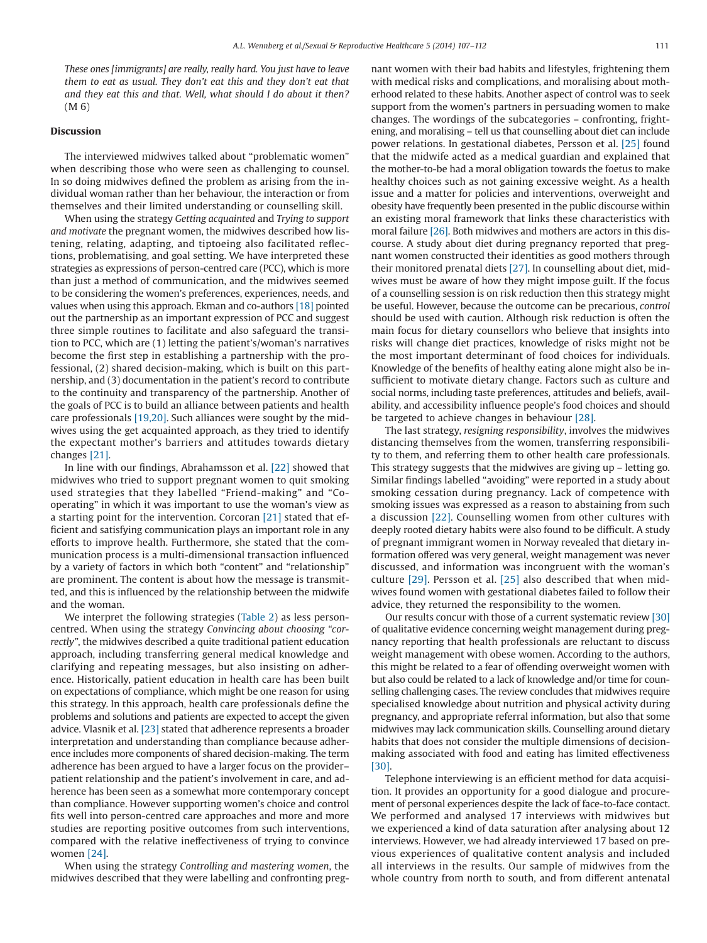*These ones [immigrants] are really, really hard. You just have to leave them to eat as usual. They don't eat this and they don't eat that and they eat this and that. Well, what should I do about it then?* (M 6)

# **Discussion**

The interviewed midwives talked about "problematic women" when describing those who were seen as challenging to counsel. In so doing midwives defined the problem as arising from the individual woman rather than her behaviour, the interaction or from themselves and their limited understanding or counselling skill.

When using the strategy *Getting acquainted* and *Trying to support and motivate* the pregnant women, the midwives described how listening, relating, adapting, and tiptoeing also facilitated reflections, problematising, and goal setting. We have interpreted these strategies as expressions of person-centred care (PCC), which is more than just a method of communication, and the midwives seemed to be considering the women's preferences, experiences, needs, and values when using this approach. Ekman and co-authors [\[18\]](#page-5-12) pointed out the partnership as an important expression of PCC and suggest three simple routines to facilitate and also safeguard the transition to PCC, which are (1) letting the patient's/woman's narratives become the first step in establishing a partnership with the professional, (2) shared decision-making, which is built on this partnership, and (3) documentation in the patient's record to contribute to the continuity and transparency of the partnership. Another of the goals of PCC is to build an alliance between patients and health care professionals [\[19,20\].](#page-5-13) Such alliances were sought by the midwives using the get acquainted approach, as they tried to identify the expectant mother's barriers and attitudes towards dietary changes [\[21\].](#page-5-14)

In line with our findings, Abrahamsson et al. [\[22\]](#page-5-15) showed that midwives who tried to support pregnant women to quit smoking used strategies that they labelled "Friend-making" and "Cooperating" in which it was important to use the woman's view as a starting point for the intervention. Corcoran [\[21\]](#page-5-14) stated that efficient and satisfying communication plays an important role in any efforts to improve health. Furthermore, she stated that the communication process is a multi-dimensional transaction influenced by a variety of factors in which both "content" and "relationship" are prominent. The content is about how the message is transmitted, and this is influenced by the relationship between the midwife and the woman.

We interpret the following strategies [\(Table 2\)](#page-2-0) as less personcentred. When using the strategy *Convincing about choosing "correctly"*, the midwives described a quite traditional patient education approach, including transferring general medical knowledge and clarifying and repeating messages, but also insisting on adherence. Historically, patient education in health care has been built on expectations of compliance, which might be one reason for using this strategy. In this approach, health care professionals define the problems and solutions and patients are expected to accept the given advice. Vlasnik et al. [\[23\]](#page-5-16) stated that adherence represents a broader interpretation and understanding than compliance because adherence includes more components of shared decision-making. The term adherence has been argued to have a larger focus on the provider– patient relationship and the patient's involvement in care, and adherence has been seen as a somewhat more contemporary concept than compliance. However supporting women's choice and control fits well into person-centred care approaches and more and more studies are reporting positive outcomes from such interventions, compared with the relative ineffectiveness of trying to convince women [\[24\].](#page-5-17)

When using the strategy *Controlling and mastering women*, the midwives described that they were labelling and confronting pregnant women with their bad habits and lifestyles, frightening them with medical risks and complications, and moralising about motherhood related to these habits. Another aspect of control was to seek support from the women's partners in persuading women to make changes. The wordings of the subcategories – confronting, frightening, and moralising – tell us that counselling about diet can include power relations. In gestational diabetes, Persson et al. [\[25\]](#page-5-18) found that the midwife acted as a medical guardian and explained that the mother-to-be had a moral obligation towards the foetus to make healthy choices such as not gaining excessive weight. As a health issue and a matter for policies and interventions, overweight and obesity have frequently been presented in the public discourse within an existing moral framework that links these characteristics with moral failure [\[26\].](#page-5-19) Both midwives and mothers are actors in this discourse. A study about diet during pregnancy reported that pregnant women constructed their identities as good mothers through their monitored prenatal diets [\[27\].](#page-5-20) In counselling about diet, midwives must be aware of how they might impose guilt. If the focus of a counselling session is on risk reduction then this strategy might be useful. However, because the outcome can be precarious, *control* should be used with caution. Although risk reduction is often the main focus for dietary counsellors who believe that insights into risks will change diet practices, knowledge of risks might not be the most important determinant of food choices for individuals. Knowledge of the benefits of healthy eating alone might also be insufficient to motivate dietary change. Factors such as culture and social norms, including taste preferences, attitudes and beliefs, availability, and accessibility influence people's food choices and should be targeted to achieve changes in behaviour [\[28\].](#page-5-21)

The last strategy, *resigning responsibility*, involves the midwives distancing themselves from the women, transferring responsibility to them, and referring them to other health care professionals. This strategy suggests that the midwives are giving up – letting go. Similar findings labelled "avoiding" were reported in a study about smoking cessation during pregnancy. Lack of competence with smoking issues was expressed as a reason to abstaining from such a discussion [\[22\].](#page-5-15) Counselling women from other cultures with deeply rooted dietary habits were also found to be difficult. A study of pregnant immigrant women in Norway revealed that dietary information offered was very general, weight management was never discussed, and information was incongruent with the woman's culture [\[29\].](#page-5-22) Persson et al. [\[25\]](#page-5-18) also described that when midwives found women with gestational diabetes failed to follow their advice, they returned the responsibility to the women.

Our results concur with those of a current systematic review [\[30\]](#page-5-23) of qualitative evidence concerning weight management during pregnancy reporting that health professionals are reluctant to discuss weight management with obese women. According to the authors, this might be related to a fear of offending overweight women with but also could be related to a lack of knowledge and/or time for counselling challenging cases. The review concludes that midwives require specialised knowledge about nutrition and physical activity during pregnancy, and appropriate referral information, but also that some midwives may lack communication skills. Counselling around dietary habits that does not consider the multiple dimensions of decisionmaking associated with food and eating has limited effectiveness [\[30\].](#page-5-23)

Telephone interviewing is an efficient method for data acquisition. It provides an opportunity for a good dialogue and procurement of personal experiences despite the lack of face-to-face contact. We performed and analysed 17 interviews with midwives but we experienced a kind of data saturation after analysing about 12 interviews. However, we had already interviewed 17 based on previous experiences of qualitative content analysis and included all interviews in the results. Our sample of midwives from the whole country from north to south, and from different antenatal